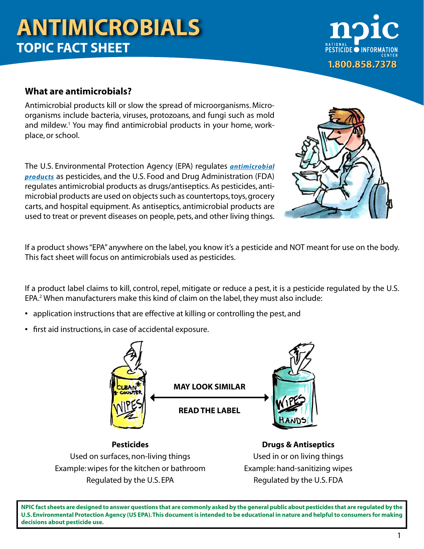**PESTICIDE O INFORMATIO** 1.800.858.7378

### **What are antimicrobials?**

Antimicrobial products kill or slow the spread of microorganisms. Microorganisms include bacteria, viruses, protozoans, and fungi such as mold and mildew.<sup>1</sup> You may find antimicrobial products in your home, workplace, or school.

The U.S. Environmental Protection Agency (EPA) regulates *[antimicrobial](http://npic.orst.edu/ingred/ptype/amicrob/index.html)  [products](http://npic.orst.edu/ingred/ptype/amicrob/index.html)* as pesticides, and the U.S. Food and Drug Administration (FDA) regulates antimicrobial products as drugs/antiseptics. As pesticides, antimicrobial products are used on objects such as countertops, toys, grocery carts, and hospital equipment. As antiseptics, antimicrobial products are used to treat or prevent diseases on people, pets, and other living things.



If a product shows "EPA" anywhere on the label, you know it's a pesticide and NOT meant for use on the body. This fact sheet will focus on antimicrobials used as pesticides.

If a product label claims to kill, control, repel, mitigate or reduce a pest, it is a pesticide regulated by the U.S. EPA.<sup>2</sup> When manufacturers make this kind of claim on the label, they must also include:

- **•** application instructions that are effective at killing or controlling the pest, and
- **•** first aid instructions, in case of accidental exposure.



**Pesticides Drugs & Antiseptics** Used on surfaces, non-living things Used in or on living things Example: wipes for the kitchen or bathroom Example: hand-sanitizing wipes Regulated by the U.S. EPA Regulated by the U.S. FDA

**NPIC fact sheets are designed to answer questions that are commonly asked by the general public about pesticides that are regulated by the U.S. Environmental Protection Agency (US EPA). This document is intended to be educational in nature and helpful to consumers for making decisions about pesticide use.**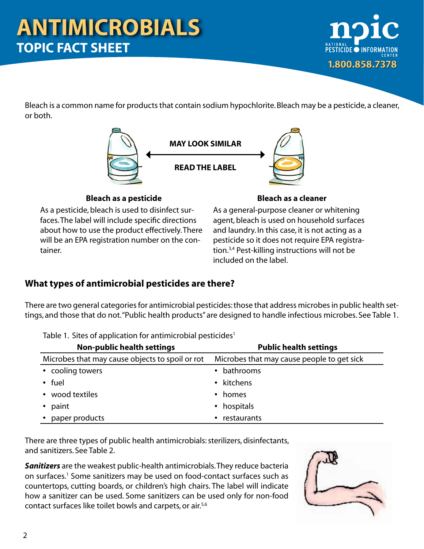

Bleach is a common name for products that contain sodium hypochlorite. Bleach may be a pesticide, a cleaner, or both.



#### **Bleach as a pesticide Bleach as a cleaner**

As a pesticide, bleach is used to disinfect surfaces. The label will include specific directions about how to use the product effectively. There will be an EPA registration number on the container.

As a general-purpose cleaner or whitening agent, bleach is used on household surfaces and laundry. In this case, it is not acting as a pesticide so it does not require EPA registration.3,4 Pest-killing instructions will not be included on the label.

### **What types of antimicrobial pesticides are there?**

There are two general categories for antimicrobial pesticides: those that address microbes in public health settings, and those that do not. "Public health products" are designed to handle infectious microbes. See Table 1.

| <b>Non-public health settings</b>               | <b>Public health settings</b>              |  |
|-------------------------------------------------|--------------------------------------------|--|
| Microbes that may cause objects to spoil or rot | Microbes that may cause people to get sick |  |
| • cooling towers                                | • bathrooms                                |  |
| $\cdot$ fuel                                    | • kitchens                                 |  |
| • wood textiles                                 | • homes                                    |  |
| • paint                                         | • hospitals                                |  |
| • paper products                                | restaurants<br>٠                           |  |

Table 1. Sites of application for antimicrobial pesticides<sup>1</sup>

There are three types of public health antimicrobials: sterilizers, disinfectants, and sanitizers. See Table 2.

*Sanitizers* are the weakest public-health antimicrobials. They reduce bacteria on surfaces.<sup>1</sup> Some sanitizers may be used on food-contact surfaces such as countertops, cutting boards, or children's high chairs. The label will indicate how a sanitizer can be used. Some sanitizers can be used only for non-food contact surfaces like toilet bowls and carpets, or air.5,6

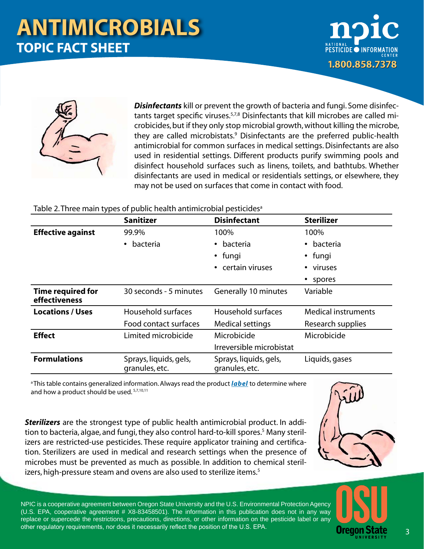



*Disinfectants* kill or prevent the growth of bacteria and fungi. Some disinfectants target specific viruses.5,7,8 Disinfectants that kill microbes are called microbicides, but if they only stop microbial growth, without killing the microbe, they are called microbistats.<sup>9</sup> Disinfectants are the preferred public-health antimicrobial for common surfaces in medical settings. Disinfectants are also used in residential settings. Different products purify swimming pools and disinfect household surfaces such as linens, toilets, and bathtubs. Whether disinfectants are used in medical or residentials settings, or elsewhere, they may not be used on surfaces that come in contact with food.

#### Table 2. Three main types of public health antimicrobial pesticides<sup>a</sup>

|                                           | <b>Sanitizer</b>                         | <b>Disinfectant</b>                      | <b>Sterilizer</b>          |
|-------------------------------------------|------------------------------------------|------------------------------------------|----------------------------|
| <b>Effective against</b>                  | 99.9%                                    | 100%                                     | 100%                       |
|                                           | • bacteria                               | • bacteria                               | • bacteria                 |
|                                           |                                          | • fungi                                  | • fungi                    |
|                                           |                                          | certain viruses                          | • viruses                  |
|                                           |                                          |                                          | spores<br>٠                |
| <b>Time required for</b><br>effectiveness | 30 seconds - 5 minutes                   | Generally 10 minutes                     | Variable                   |
| <b>Locations / Uses</b>                   | Household surfaces                       | Household surfaces                       | <b>Medical instruments</b> |
|                                           | Food contact surfaces                    | <b>Medical settings</b>                  | Research supplies          |
| <b>Effect</b>                             | Limited microbicide                      | Microbicide                              | Microbicide                |
|                                           |                                          | Irreversible microbistat                 |                            |
| <b>Formulations</b>                       | Sprays, liquids, gels,<br>granules, etc. | Sprays, liquids, gels,<br>granules, etc. | Liquids, gases             |

<sup>a</sup> This table contains generalized information. [Always read the product](http://npic.orst.edu/health/readlabel.html) *label* to determine where and how a product should be used.<sup>5,7,10,11</sup>

*Sterilizers* are the strongest type of public health antimicrobial product. In addition to bacteria, algae, and fungi, they also control hard-to-kill spores.<sup>5</sup> Many sterilizers are restricted-use pesticides. These require applicator training and certification. Sterilizers are used in medical and research settings when the presence of microbes must be prevented as much as possible. In addition to chemical sterilizers, high-pressure steam and ovens are also used to sterilize items.<sup>5</sup>



Oregon

NPIC is a cooperative agreement between Oregon State University and the U.S. Environmental Protection Agency (U.S. EPA, cooperative agreement # X8-83458501). The information in this publication does not in any way replace or supercede the restrictions, precautions, directions, or other information on the pesticide label or any other regulatory requirements, nor does it necessarily reflect the position of the U.S. EPA.